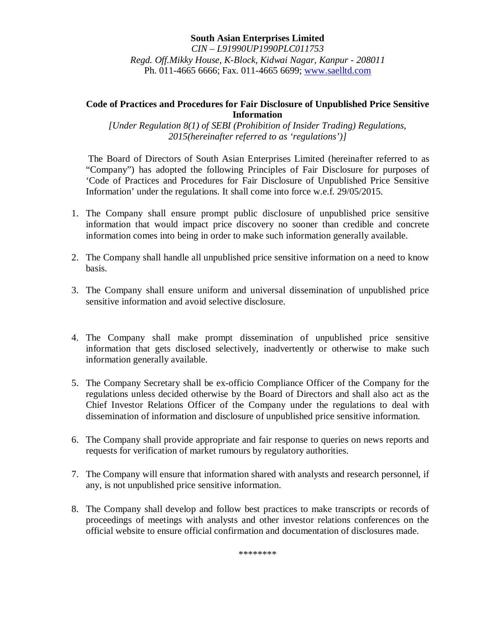# **South Asian Enterprises Limited**

*CIN – L91990UP1990PLC011753 Regd. Off.Mikky House, K-Block, Kidwai Nagar, Kanpur - 208011* Ph. 011-4665 6666; Fax. 011-4665 6699; www.saelltd.com

#### **Code of Practices and Procedures for Fair Disclosure of Unpublished Price Sensitive Information**

*[Under Regulation 8(1) of SEBI (Prohibition of Insider Trading) Regulations, 2015(hereinafter referred to as 'regulations')]*

The Board of Directors of South Asian Enterprises Limited (hereinafter referred to as "Company") has adopted the following Principles of Fair Disclosure for purposes of 'Code of Practices and Procedures for Fair Disclosure of Unpublished Price Sensitive Information' under the regulations. It shall come into force w.e.f. 29/05/2015.

- 1. The Company shall ensure prompt public disclosure of unpublished price sensitive information that would impact price discovery no sooner than credible and concrete information comes into being in order to make such information generally available.
- 2. The Company shall handle all unpublished price sensitive information on a need to know basis.
- 3. The Company shall ensure uniform and universal dissemination of unpublished price sensitive information and avoid selective disclosure.
- 4. The Company shall make prompt dissemination of unpublished price sensitive information that gets disclosed selectively, inadvertently or otherwise to make such information generally available.
- 5. The Company Secretary shall be ex-officio Compliance Officer of the Company for the regulations unless decided otherwise by the Board of Directors and shall also act as the Chief Investor Relations Officer of the Company under the regulations to deal with dissemination of information and disclosure of unpublished price sensitive information.
- 6. The Company shall provide appropriate and fair response to queries on news reports and requests for verification of market rumours by regulatory authorities.
- 7. The Company will ensure that information shared with analysts and research personnel, if any, is not unpublished price sensitive information.
- 8. The Company shall develop and follow best practices to make transcripts or records of proceedings of meetings with analysts and other investor relations conferences on the official website to ensure official confirmation and documentation of disclosures made.

\*\*\*\*\*\*\*\*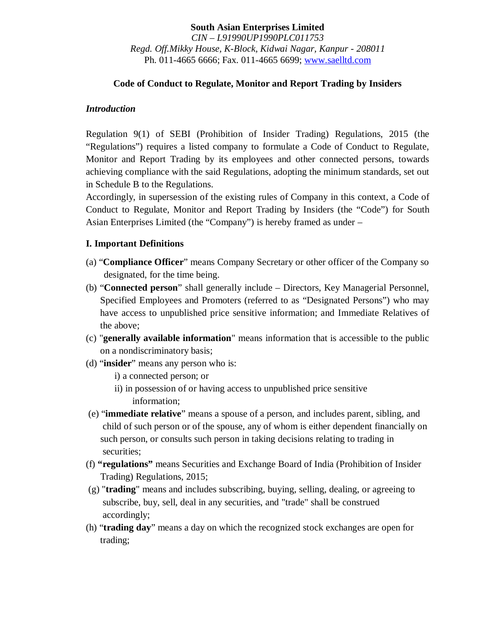# **South Asian Enterprises Limited**

*CIN – L91990UP1990PLC011753 Regd. Off.Mikky House, K-Block, Kidwai Nagar, Kanpur - 208011* Ph. 011-4665 6666; Fax. 011-4665 6699; www.saelltd.com

#### **Code of Conduct to Regulate, Monitor and Report Trading by Insiders**

#### *Introduction*

Regulation 9(1) of SEBI (Prohibition of Insider Trading) Regulations, 2015 (the "Regulations") requires a listed company to formulate a Code of Conduct to Regulate, Monitor and Report Trading by its employees and other connected persons, towards achieving compliance with the said Regulations, adopting the minimum standards, set out in Schedule B to the Regulations.

Accordingly, in supersession of the existing rules of Company in this context, a Code of Conduct to Regulate, Monitor and Report Trading by Insiders (the "Code") for South Asian Enterprises Limited (the "Company") is hereby framed as under –

#### **I. Important Definitions**

- (a) "**Compliance Officer**" means Company Secretary or other officer of the Company so designated, for the time being.
- (b) "**Connected person**" shall generally include Directors, Key Managerial Personnel, Specified Employees and Promoters (referred to as "Designated Persons") who may have access to unpublished price sensitive information; and Immediate Relatives of the above;
- (c) "**generally available information**" means information that is accessible to the public on a nondiscriminatory basis;
- (d) "**insider**" means any person who is:
	- i) a connected person; or
	- ii) in possession of or having access to unpublished price sensitive information;
- (e) "**immediate relative**" means a spouse of a person, and includes parent, sibling, and child of such person or of the spouse, any of whom is either dependent financially on such person, or consults such person in taking decisions relating to trading in securities;
- (f) **"regulations"** means Securities and Exchange Board of India (Prohibition of Insider Trading) Regulations, 2015;
- (g) "**trading**" means and includes subscribing, buying, selling, dealing, or agreeing to subscribe, buy, sell, deal in any securities, and "trade" shall be construed accordingly;
- (h) "**trading day**" means a day on which the recognized stock exchanges are open for trading;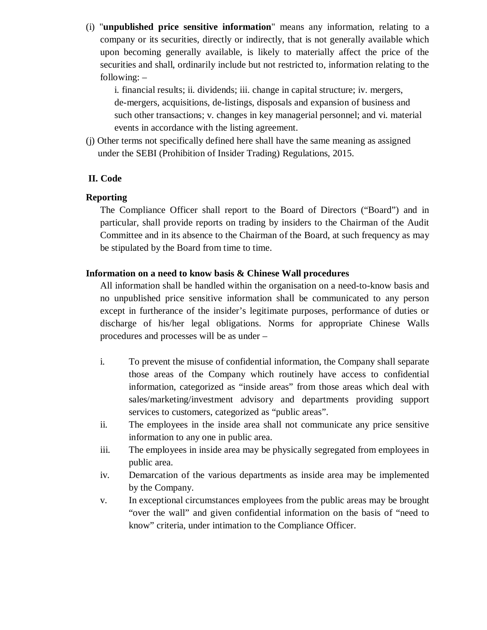(i) "**unpublished price sensitive information**" means any information, relating to a company or its securities, directly or indirectly, that is not generally available which upon becoming generally available, is likely to materially affect the price of the securities and shall, ordinarily include but not restricted to, information relating to the following: –

i. financial results; ii. dividends; iii. change in capital structure; iv. mergers, de-mergers, acquisitions, de-listings, disposals and expansion of business and such other transactions; v. changes in key managerial personnel; and vi. material events in accordance with the listing agreement.

(j) Other terms not specifically defined here shall have the same meaning as assigned under the SEBI (Prohibition of Insider Trading) Regulations, 2015.

## **II. Code**

#### **Reporting**

The Compliance Officer shall report to the Board of Directors ("Board") and in particular, shall provide reports on trading by insiders to the Chairman of the Audit Committee and in its absence to the Chairman of the Board, at such frequency as may be stipulated by the Board from time to time.

#### **Information on a need to know basis & Chinese Wall procedures**

All information shall be handled within the organisation on a need-to-know basis and no unpublished price sensitive information shall be communicated to any person except in furtherance of the insider's legitimate purposes, performance of duties or discharge of his/her legal obligations. Norms for appropriate Chinese Walls procedures and processes will be as under –

- i. To prevent the misuse of confidential information, the Company shall separate those areas of the Company which routinely have access to confidential information, categorized as "inside areas" from those areas which deal with sales/marketing/investment advisory and departments providing support services to customers, categorized as "public areas".
- ii. The employees in the inside area shall not communicate any price sensitive information to any one in public area.
- iii. The employees in inside area may be physically segregated from employees in public area.
- iv. Demarcation of the various departments as inside area may be implemented by the Company.
- v. In exceptional circumstances employees from the public areas may be brought "over the wall" and given confidential information on the basis of "need to know" criteria, under intimation to the Compliance Officer.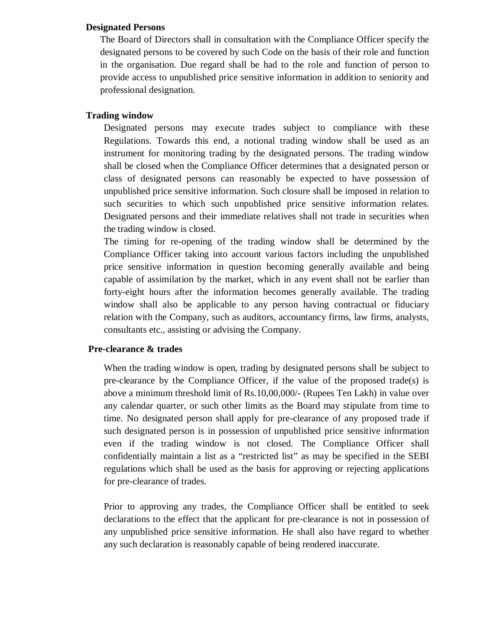#### **Designated Persons**

The Board of Directors shall in consultation with the Compliance Officer specify the designated persons to be covered by such Code on the basis of their role and function in the organisation. Due regard shall be had to the role and function of person to provide access to unpublished price sensitive information in addition to seniority and professional designation.

#### **Trading window**

Designated persons may execute trades subject to compliance with these Regulations. Towards this end, a notional trading window shall be used as an instrument for monitoring trading by the designated persons. The trading window shall be closed when the Compliance Officer determines that a designated person or class of designated persons can reasonably be expected to have possession of unpublished price sensitive information. Such closure shall be imposed in relation to such securities to which such unpublished price sensitive information relates. Designated persons and their immediate relatives shall not trade in securities when the trading window is closed.

The timing for re-opening of the trading window shall be determined by the Compliance Officer taking into account various factors including the unpublished price sensitive information in question becoming generally available and being capable of assimilation by the market, which in any event shall not be earlier than forty-eight hours after the information becomes generally available. The trading window shall also be applicable to any person having contractual or fiduciary relation with the Company, such as auditors, accountancy firms, law firms, analysts, consultants etc., assisting or advising the Company.

#### **Pre-clearance & trades**

When the trading window is open, trading by designated persons shall be subject to pre-clearance by the Compliance Officer, if the value of the proposed trade(s) is above a minimum threshold limit of Rs.10,00,000/- (Rupees Ten Lakh) in value over any calendar quarter, or such other limits as the Board may stipulate from time to time. No designated person shall apply for pre-clearance of any proposed trade if such designated person is in possession of unpublished price sensitive information even if the trading window is not closed. The Compliance Officer shall confidentially maintain a list as a "restricted list" as may be specified in the SEBI regulations which shall be used as the basis for approving or rejecting applications for pre-clearance of trades.

Prior to approving any trades, the Compliance Officer shall be entitled to seek declarations to the effect that the applicant for pre-clearance is not in possession of any unpublished price sensitive information. He shall also have regard to whether any such declaration is reasonably capable of being rendered inaccurate.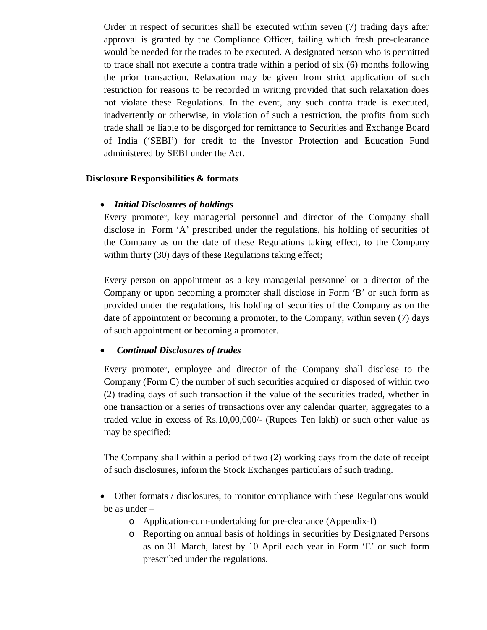Order in respect of securities shall be executed within seven (7) trading days after approval is granted by the Compliance Officer, failing which fresh pre-clearance would be needed for the trades to be executed. A designated person who is permitted to trade shall not execute a contra trade within a period of six (6) months following the prior transaction. Relaxation may be given from strict application of such restriction for reasons to be recorded in writing provided that such relaxation does not violate these Regulations. In the event, any such contra trade is executed, inadvertently or otherwise, in violation of such a restriction, the profits from such trade shall be liable to be disgorged for remittance to Securities and Exchange Board of India ('SEBI') for credit to the Investor Protection and Education Fund administered by SEBI under the Act.

## **Disclosure Responsibilities & formats**

# *Initial Disclosures of holdings*

Every promoter, key managerial personnel and director of the Company shall disclose in Form 'A' prescribed under the regulations, his holding of securities of the Company as on the date of these Regulations taking effect, to the Company within thirty (30) days of these Regulations taking effect;

Every person on appointment as a key managerial personnel or a director of the Company or upon becoming a promoter shall disclose in Form 'B' or such form as provided under the regulations, his holding of securities of the Company as on the date of appointment or becoming a promoter, to the Company, within seven (7) days of such appointment or becoming a promoter.

# *Continual Disclosures of trades*

Every promoter, employee and director of the Company shall disclose to the Company (Form C) the number of such securities acquired or disposed of within two (2) trading days of such transaction if the value of the securities traded, whether in one transaction or a series of transactions over any calendar quarter, aggregates to a traded value in excess of Rs.10,00,000/- (Rupees Ten lakh) or such other value as may be specified;

The Company shall within a period of two (2) working days from the date of receipt of such disclosures, inform the Stock Exchanges particulars of such trading.

 Other formats / disclosures, to monitor compliance with these Regulations would be as under –

- o Application-cum-undertaking for pre-clearance (Appendix-I)
- o Reporting on annual basis of holdings in securities by Designated Persons as on 31 March, latest by 10 April each year in Form 'E' or such form prescribed under the regulations.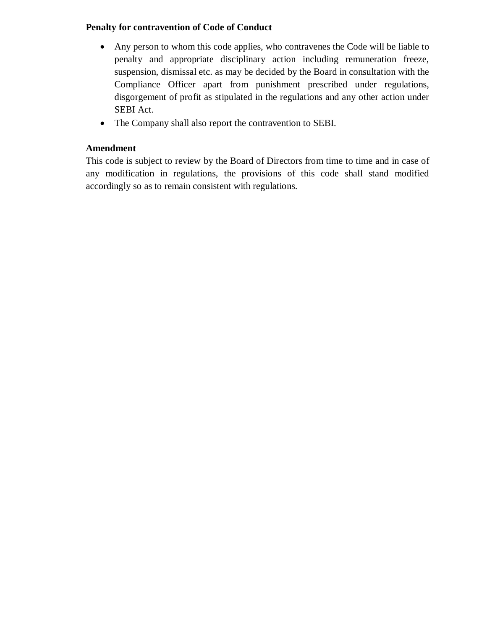# **Penalty for contravention of Code of Conduct**

- Any person to whom this code applies, who contravenes the Code will be liable to penalty and appropriate disciplinary action including remuneration freeze, suspension, dismissal etc. as may be decided by the Board in consultation with the Compliance Officer apart from punishment prescribed under regulations, disgorgement of profit as stipulated in the regulations and any other action under SEBI Act.
- The Company shall also report the contravention to SEBI.

# **Amendment**

This code is subject to review by the Board of Directors from time to time and in case of any modification in regulations, the provisions of this code shall stand modified accordingly so as to remain consistent with regulations.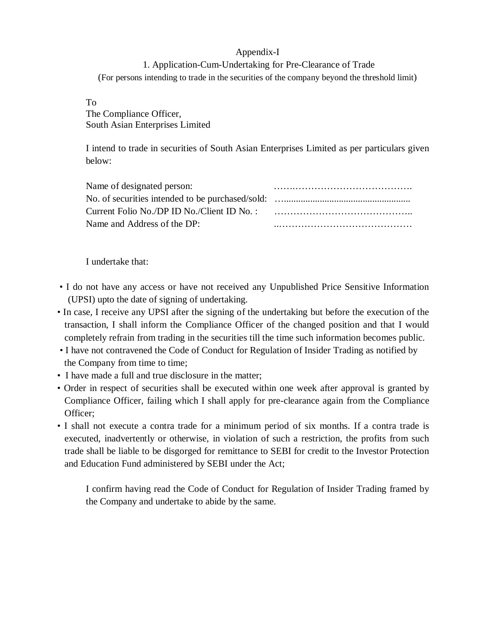## Appendix-I

1. Application-Cum-Undertaking for Pre-Clearance of Trade (For persons intending to trade in the securities of the company beyond the threshold limit)

## To

The Compliance Officer, South Asian Enterprises Limited

I intend to trade in securities of South Asian Enterprises Limited as per particulars given below:

| Name of designated person:  |  |
|-----------------------------|--|
|                             |  |
|                             |  |
| Name and Address of the DP: |  |

## I undertake that:

- I do not have any access or have not received any Unpublished Price Sensitive Information (UPSI) upto the date of signing of undertaking.
- In case, I receive any UPSI after the signing of the undertaking but before the execution of the transaction, I shall inform the Compliance Officer of the changed position and that I would completely refrain from trading in the securities till the time such information becomes public.
- I have not contravened the Code of Conduct for Regulation of Insider Trading as notified by the Company from time to time;
- I have made a full and true disclosure in the matter;
- Order in respect of securities shall be executed within one week after approval is granted by Compliance Officer, failing which I shall apply for pre-clearance again from the Compliance Officer;
- I shall not execute a contra trade for a minimum period of six months. If a contra trade is executed, inadvertently or otherwise, in violation of such a restriction, the profits from such trade shall be liable to be disgorged for remittance to SEBI for credit to the Investor Protection and Education Fund administered by SEBI under the Act;

I confirm having read the Code of Conduct for Regulation of Insider Trading framed by the Company and undertake to abide by the same.